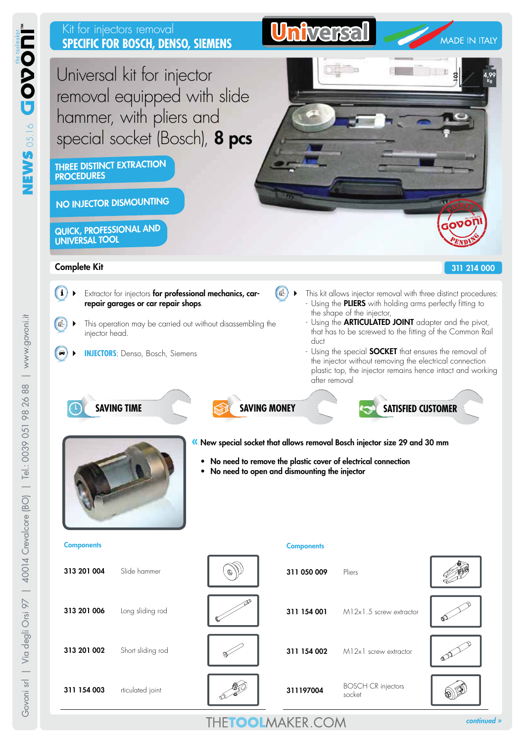

*continued »*